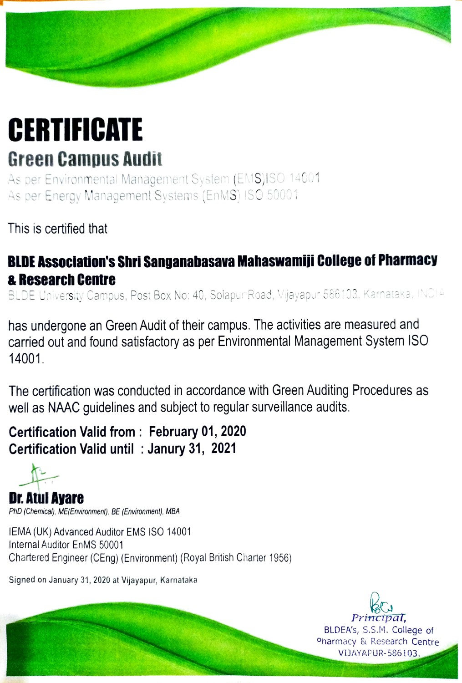## **CERTIFICATE** Green Campus Audit

As per Environmental Management System (EMS)ISO 14001 As per Energy Management Systems (EnMS) ISO 50001

This is certified that

### BLDE Association's Shri Sanganabasava Mahaswamiji College of Pharmacy &Research Centre

BLDE University Campus, Post Box No: 40, Solapur Road, Vijayapur 586103, Karnataka, INDIA

has undergone an Green Audit of their campus. The activities are measured and carried out and found satisfactory as per Environmental Management System ISO 14001

The certification was conducted in accordance with Green Auditing Procedures as well as NAAC guidelines and subject to regular surveillance audits.

### Certification Valid from: February 01, 2020 Certification Valid until : Janury 31, 2021

Dr.Atul Ayare PhD (Chemical), ME(Environment), BE (Environment), MBA

IEMA (UK) Advanced Auditor EMS ISO 14001 Internal Auditor EnMS 50001 Chartered Engineer (CEng) (Environment) (Royal British Ciarter 1956)

Signed on January 31, 2020 at Vijayapur, Karnataka



BLDEA'S, S.s.M. College of Onarmacy & Research Centre VIJAYAPUR-586103.